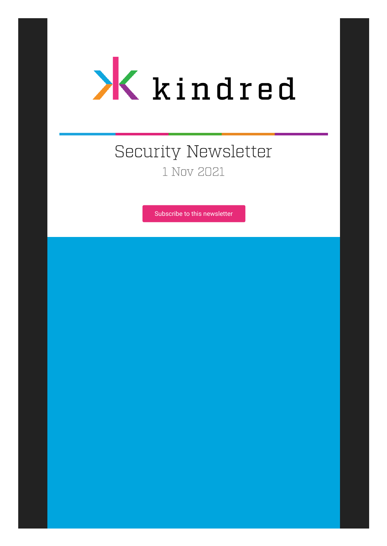

# Security Newsletter 1 Nov 2021

[Subscribe to this newsletter](https://news.infosecgur.us/register)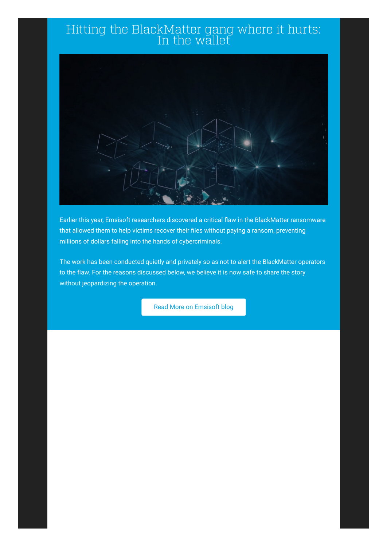#### Hitting the BlackMatter gang where it hurts: In the wallet



Earlier this year, Emsisoft researchers discovered a critical flaw in the BlackMatter ransomware that allowed them to help victims recover their files without paying a ransom, preventing millions of dollars falling into the hands of cybercriminals.

The work has been conducted quietly and privately so as not to alert the BlackMatter operators to the flaw. For the reasons discussed below, we believe it is now safe to share the story without jeopardizing the operation.

[Read More on Emsisoft blog](https://blog.emsisoft.com/en/39181/on-the-matter-of-blackmatter/)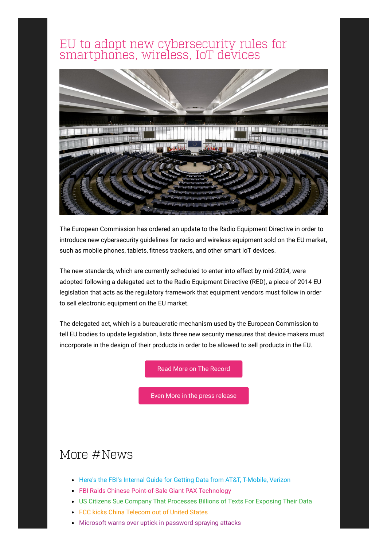#### EU to adopt new cybersecurity rules for smartphones, wireless, IoT devices



The European Commission has ordered an update to the Radio Equipment Directive in order to introduce new cybersecurity guidelines for radio and wireless equipment sold on the EU market, such as mobile phones, tablets, fitness trackers, and other smart IoT devices.

The new standards, which are currently scheduled to enter into effect by mid-2024, were adopted following a delegated act to the Radio Equipment Directive (RED), a piece of 2014 EU legislation that acts as the regulatory framework that equipment vendors must follow in order to sell electronic equipment on the EU market.

The delegated act, which is a bureaucratic mechanism used by the European Commission to tell EU bodies to update legislation, lists three new security measures that device makers must incorporate in the design of their products in order to be allowed to sell products in the EU.

[Read More on The Record](https://therecord.media/eu-to-adopt-new-cybersecurity-rules-for-smartphones-wireless-iot-devices/)

[Even More in the press release](https://ec.europa.eu/commission/presscorner/detail/en/ip_21_5634)

# More #News

- [Here's the FBI's Internal Guide for Getting Data from AT&T, T-Mobile, Verizon](https://www.vice.com/en/article/m7vqkv/how-fbi-gets-phone-data-att-tmobile-verizon)
- [FBI Raids Chinese Point-of-Sale Giant PAX Technology](https://krebsonsecurity.com/2021/10/fbi-raids-chinese-point-of-sale-giant-pax-technology/)
- [US Citizens Sue Company That Processes Billions of Texts For Exposing Their Data](https://www.vice.com/en/article/7kbz3z/us-citizens-sue-syniverse-company-that-processes-billions-of-texts-for-exposing-their-data)
- [FCC kicks China Telecom out of United States](https://www.zdnet.com/article/fcc-kicks-china-telecom-out-of-united-states/)
- [Microsoft warns over uptick in password spraying attacks](https://www.zdnet.com/article/microsoft-warns-over-uptick-in-password-spraying-attacks/)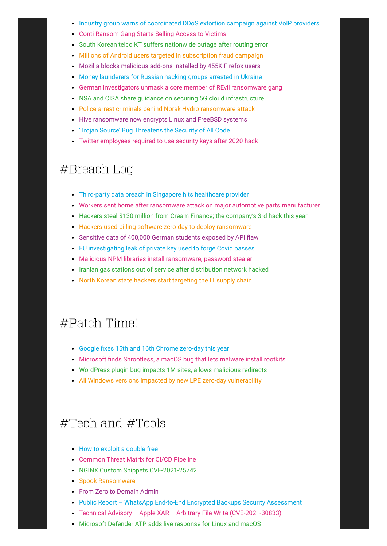- [Industry group warns of coordinated DDoS extortion campaign against VoIP providers](https://therecord.media/industry-group-warns-of-coordinated-ddos-extortion-campaign-against-voip-providers/)
- [Conti Ransom Gang Starts Selling Access to Victims](https://krebsonsecurity.com/2021/10/conti-ransom-gang-starts-selling-access-to-victims/)
- [South Korean telco KT suffers nationwide outage after routing error](https://www.bleepingcomputer.com/news/technology/south-korean-telco-kt-suffers-nationwide-outage-after-routing-error/)
- [Millions of Android users targeted in subscription fraud campaign](https://www.bleepingcomputer.com/news/security/millions-of-android-users-targeted-in-subscription-fraud-campaign/)
- [Mozilla blocks malicious add-ons installed by 455K Firefox users](https://www.bleepingcomputer.com/news/security/mozilla-blocks-malicious-add-ons-installed-by-455k-firefox-users/)
- [Money launderers for Russian hacking groups arrested in Ukraine](https://www.bleepingcomputer.com/news/security/money-launderers-for-russian-hacking-groups-arrested-in-ukraine/)
- [German investigators unmask a core member of REvil ransomware gang](https://www.bleepingcomputer.com/news/security/german-investigators-unmask-a-core-member-of-revil-ransomware-gang/)
- [NSA and CISA share guidance on securing 5G cloud infrastructure](https://www.bleepingcomputer.com/news/security/nsa-and-cisa-share-guidance-on-securing-5g-cloud-infrastructure/)
- [Police arrest criminals behind Norsk Hydro ransomware attack](https://www.bleepingcomputer.com/news/security/police-arrest-criminals-behind-norsk-hydro-ransomware-attack/)
- [Hive ransomware now encrypts Linux and FreeBSD systems](https://www.bleepingcomputer.com/news/security/hive-ransomware-now-encrypts-linux-and-freebsd-systems/)
- ['Trojan Source' Bug Threatens the Security of All Code](https://krebsonsecurity.com/2021/11/trojan-source-bug-threatens-the-security-of-all-code/)
- [Twitter employees required to use security keys after 2020 hack](https://www.bleepingcomputer.com/news/security/twitter-employees-required-to-use-security-keys-after-2020-hack/)

### #Breach Log

- [Third-party data breach in Singapore hits healthcare provider](https://www.zdnet.com/article/third-party-data-breach-in-singapore-hits-healthcare-provider/)
- [Workers sent home after ransomware attack on major automotive parts manufacturer](https://therecord.media/workers-sent-home-after-ransomware-attack-on-major-automotive-parts-manufacturer/)
- [Hackers steal \\$130 million from Cream Finance; the company's 3rd hack this year](https://therecord.media/hackers-steal-130-million-from-cream-finance-the-companys-3rd-hack-this-year/)
- [Hackers used billing software zero-day to deploy ransomware](https://www.bleepingcomputer.com/news/security/hackers-used-billing-software-zero-day-to-deploy-ransomware/)
- [Sensitive data of 400,000 German students exposed by API flaw](https://www.bleepingcomputer.com/news/security/sensitive-data-of-400-000-german-students-exposed-by-api-flaw/)
- [EU investigating leak of private key used to forge Covid passes](https://www.bleepingcomputer.com/news/security/eu-investigating-leak-of-private-key-used-to-forge-covid-passes/)
- [Malicious NPM libraries install ransomware, password stealer](https://www.bleepingcomputer.com/news/security/malicious-npm-libraries-install-ransomware-password-stealer/)
- [Iranian gas stations out of service after distribution network hacked](https://www.bleepingcomputer.com/news/security/iranian-gas-stations-out-of-service-after-distribution-network-hacked/)
- [North Korean state hackers start targeting the IT supply chain](https://www.bleepingcomputer.com/news/security/north-korean-state-hackers-start-targeting-the-it-supply-chain/)

### #Patch Time!

- [Google fixes 15th and 16th Chrome zero-day this year](https://therecord.media/google-fixes-15th-and-16th-chrome-zero-day-this-year/)
- [Microsoft finds Shrootless, a macOS bug that lets malware install rootkits](https://therecord.media/microsoft-finds-shrootless-a-macos-bug-that-lets-malware-install-rootkits/)
- [WordPress plugin bug impacts 1M sites, allows malicious redirects](https://www.bleepingcomputer.com/news/security/wordpress-plugin-bug-impacts-1m-sites-allows-malicious-redirects/)
- [All Windows versions impacted by new LPE zero-day vulnerability](https://www.bleepingcomputer.com/news/security/all-windows-versions-impacted-by-new-lpe-zero-day-vulnerability/)

## #Tech and #Tools

- [How to exploit a double free](https://github.com/stong/how-to-exploit-a-double-free)
- [Common Threat Matrix for CI/CD Pipeline](https://github.com/rung/threat-matrix-cicd)
- [NGINX Custom Snippets CVE-2021-25742](https://blog.lightspin.io/nginx-custom-snippets)
- [Spook Ransomware](https://www.sentinelone.com/labs/spook-ransomware-prometheus-derivative-names-those-that-pay-shames-those-that-dont/)
- [From Zero to Domain Admin](https://thedfirreport.com/2021/11/01/from-zero-to-domain-admin/)
- Public Report WhatsApp End-to-End Encrypted Backups Security Assessment
- [Technical Advisory Apple XAR Arbitrary File Write \(CVE-2021-30833\)](https://research.nccgroup.com/2021/10/28/technical-advisory-apple-xar-arbitrary-file-write-cve-2021-30833/)
- [Microsoft Defender ATP adds live response for Linux and macOS](https://www.bleepingcomputer.com/news/microsoft/microsoft-defender-atp-adds-live-response-for-linux-and-macos/)